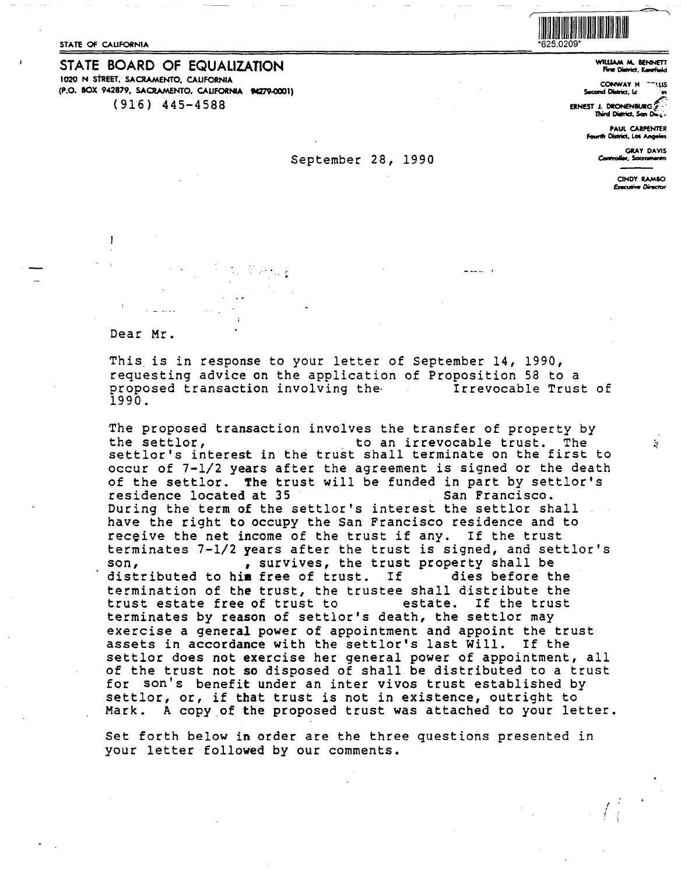H

**STATE BOARD OF EQUALIZATION 1020 N STREET. SACRAMENTO, CALIFORNIA (P.O. BOX 942879, SACRAMENTO, CALIFORNIA Ml79-0001)**  (916) 445-4588

# GRAY DAVIS<br> **September 28, 1990** Controller, Society Agency Controller, Society Agency Controller, Society Agency Controller, Society Agency Controller, Society Agency Controller, Society Agency Controller, Society Agency

**WIWAM M.** IEHNfTT **Fint Omrict,** 

**CONWAY H -- LLIS Second District, La** 

*r* llllllllllllllll!llllllll!!ll!!lllll!lllll!l!lllll

\*625.0209\*

ERNEST J. **DRONENBURG 1hird Omrict, San o;.,.·**  *r* **•.** 

> **PAUL CARPENTER Fourth Cistrid, loo M1JN1**

CINDY RAMBO **Executive Director** 

#### Dear Mr.

This is in response to your letter of September 14, 1990, requesting advice on the application of Proposition 58 to a<br>proposed transaction involving the fine interpreted areas of proposed transaction involving the-1990.

The proposed transaction involves the transfer of property by<br>the settlor,<br>to an irrevocable trust. The to an irrevocable trust. The settlor's interest in the trust shall terminate on the first to occur of 7-1/2 **years** after the agreement is signed or the death of the settlor. The trust will be funded in part by settler's residence located at 35 During the term of the settlor's interest the settlor shall have the right to occupy the San Francisco residence and to receive the net income of the trust if any. If the trust terminates 7-1/2 years after the trust is signed, and settlor's<br>son, survives, the trust property shall be survives, the trust property shall be ...<br>In free of trust. If ... dies before the distributed to him free of trust. If termination of the trust, the trustee shall distribute the<br>trust estate free of trust to estate. If the trust trust estate free of trust to terminates by reason of settlor's death, the settlor may exercise a general power of appointment and appoint the trust assets in accordance with the settlor's last Will. If the settlor does not exercise her general power of appointment, all of the trust not so disposed of shall be distributed to a trust for son's benefit under an inter vivos trust established by settlor, or, if that trust is not in existence, outright to Mark. A copy of the proposed trust was attached to your letter.

Set forth below in order are the three questions presented in your letter followed by our comments.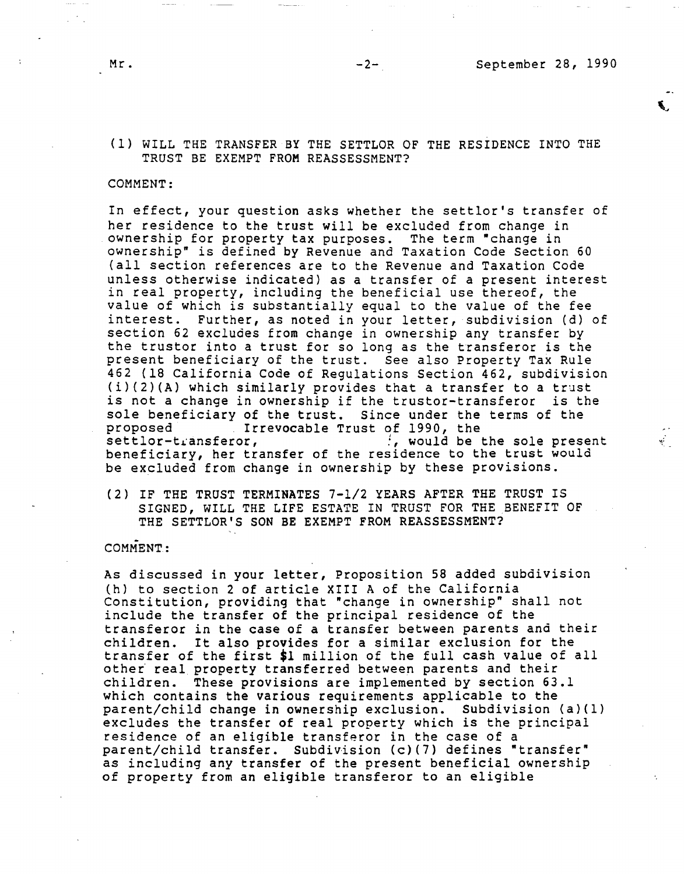$\ell$ 

 $\ddot{\bullet}$ 

### (1) WILL THE TRANSFER BY THE SETTLOR OF THE RESIDENCE INTO THE TRUST BE EXEMPT FROM REASSESSMENT?

#### **COMMENT:**

In effect, your question asks whether the settlor's transfer of her residence to the trust will be excluded from change in ownership for property tax purposes. The term •change in ownership for property can parposes. The cerm change in (all section references are to the Revenue and Taxation Code unless otherwise indicated) as a transfer of a present interest in real property, including the beneficial use thereof, the value of which is substantially equal to the value of the fee interest. Further, as noted in your letter, subdivision (d) of section 62 excludes from change in ownership any transfer by the trustor into a trust for so long as the transferor is the present beneficiary of the trust. See also Property Tax Rule 462 (18 California Code of Regulations Section 462, subdivision (i)(2)(A) which similarly provides that a transfer to a trust is not a change in ownership if the trustor-transferor is the sole beneficiary of the trust. Since under the terms of the proposed<br>proposed irrevocable Trust of 1990, the proposed Irrevocable Trust of 1990, the<br>settlor-transferor,  $\cdot$ , would be f, would be the sole present beneficiary, her transfer of the residence to the trust would be excluded from change in ownership by these provisions.

**(2) IF THE TRUST TERMINATES 7-1/2 YEARS AFTER THE TRUST IS**  SIGNED, WILL THE LIFE ESTATE IN TRUST FOR THE BENEFIT OF **THE SETTLOR'S SON BE EXEMPT FROM REASSESSMENT?** 

## **COMMENT:**

As discussed in your letter, Proposition 58 added subdivision (h) to section 2 of article XIII A of the California Constitution, providing that "change in ownership" shall not include the transfer of the principal residence of the transferor in the case of a transfer between parents and their children. It also provides for a similar exclusion for the transfer of the first \$1 million of the full cash value of all other real property transferred between parents and their children. These provisions are implemented by section 63.l which contains the various requirements applicable to the parent/child change in ownership exclusion. Subdivision (a)(l) excludes the transfer of real property which is the principal residence of an eligible transferor in the case of a  $parent/child$  transfer. Subdivision (c)(7) defines "transfer" as including any transfer of the present beneficial ownership of property from an eligible transferor to an eligible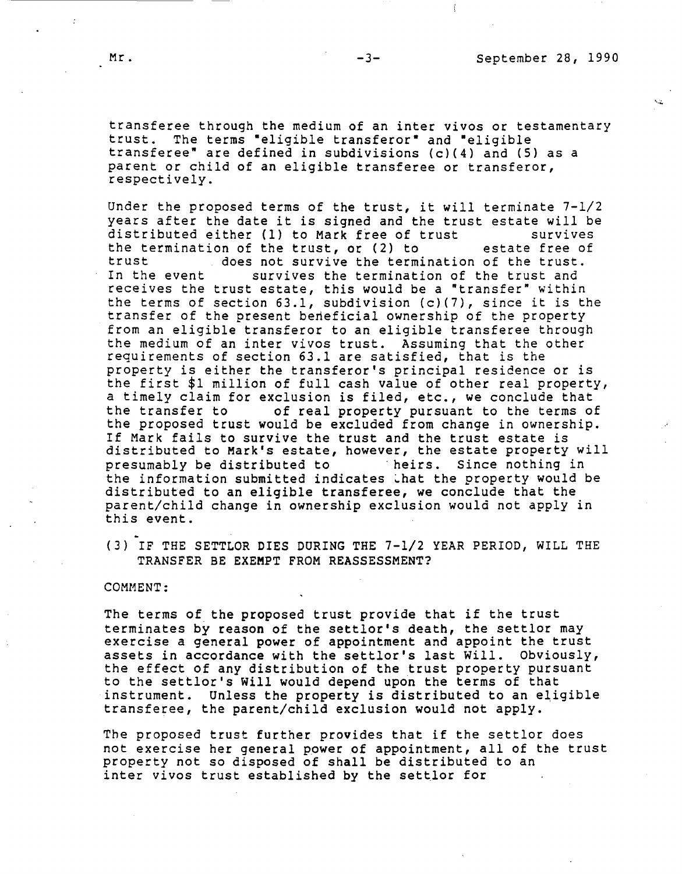• .. ;,.\_

transferee through the medium of an inter vivos or testamentary<br>trust. The terms "eligible transferor" and "eligible The terms "eligible transferor" and "eligible transferee" are defined in subdivisions  $(c)(4)$  and  $(5)$  as a parent or child of an eligible transferee or transferor, respectively.

Under the proposed terms of the trust, it will terminate 7-1/2 years after the date it is signed and the trust estate will be distributed either (1) to Mark free of trust distributed either (1) to Mark free of trust<br>the termination of the trust, or (2) to estate free of the termination of the trust, or  $(2)$  to trust does not survive the term trust does not survive the termination of the trust.<br>In the event survives the termination of the trust and survives the termination of the trust and receives the trust estate, this would be a "transfer" within the terms of section 63.1, subdivision (c)(7), since it is the transfer of the present beneficial ownership of the property from an eligible transferor to an eligible transferee through the medium of an inter vivos trust. Assuming that the other requirements of section 63.1 are satisfied, that is the property is either the transferor's principal residence or is the first \$1 million of full cash value of other real property, a timely claim for exclusion is filed, etc., we conclude that<br>the transfer to contineal property pursuant to the terms of of real property pursuant to the terms of the proposed trust would be excluded from change in ownership. If Mark fails to survive the trust and the trust estate is distributed to Mark's estate, however, the estate property will<br>presumably be distributed to theirs. Since nothing in presumably be distributed to the information submitted indicates that the property would be distributed to an eligible transferee, we conclude that the parent/child change in ownership exclusion would not apply in this event.

(3) IF THE SETTLOR DIES DORING THE 7-1/2 YEAR PERIOD, WILL THE **TRANSFER BE EXEMPT FROM REASSESSMENT?** 

#### COMMENT:

The terms of the proposed trust provide that if the trust<br>terminates by reason of the settlor's death, the settlor may exercise a general power of appointment and appoint the trust assets in accordance with the settlor's last Will. Obviously, the effect of any distribution of the trust property pursuant to the settler's Will would depend upon the terms of that instrument. Unless the property is distributed to an eligible transferee, the parent/child exclusion would not apply.

The proposed trust further provides that if the settlor does not exercise her general power of appointment, all of the trust property not so disposed of shall be distributed to an inter vivos trust established by the settlor for